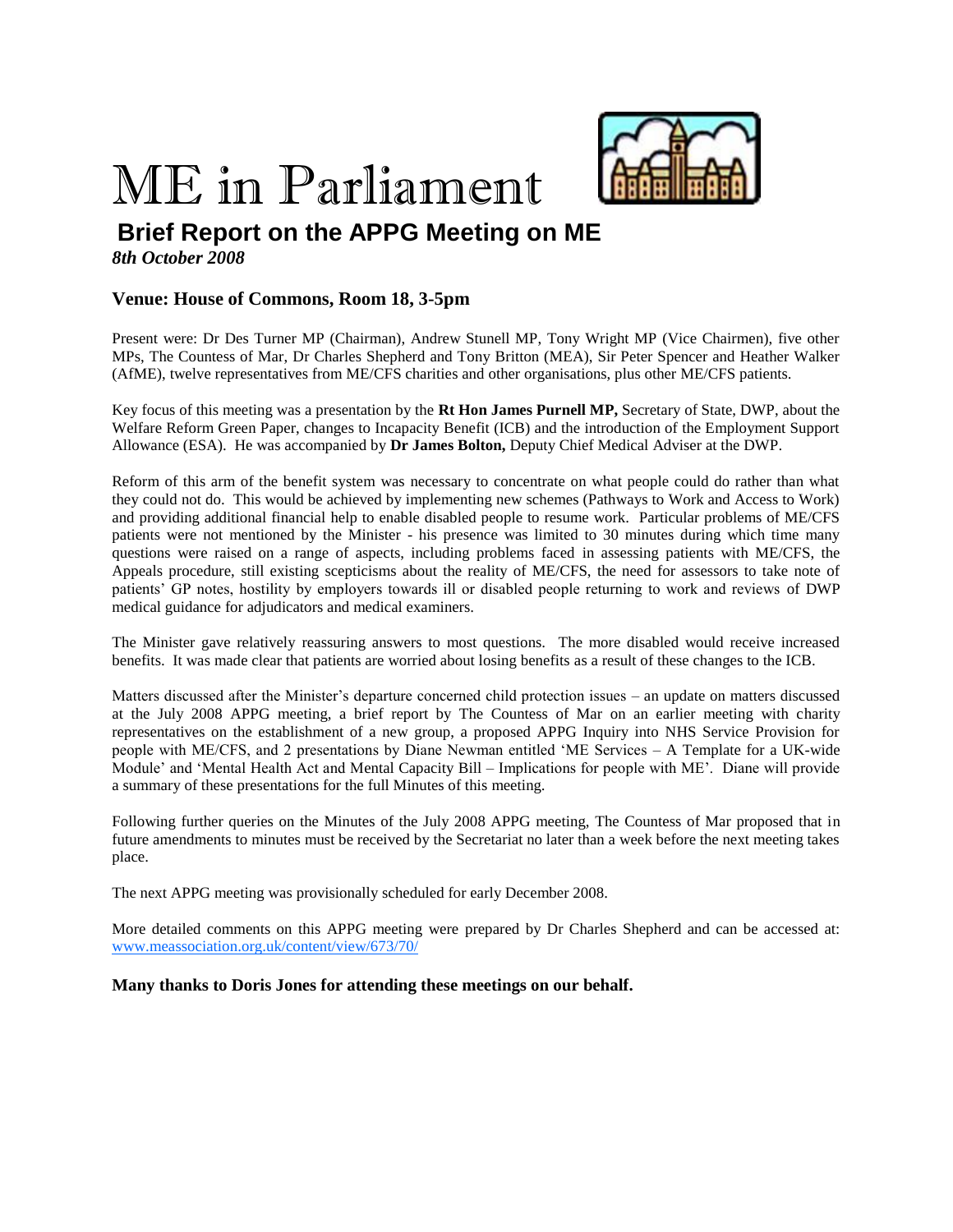

ME in Parliament

## **Brief Report on the APPG Meeting on ME**

*8th October 2008*

## **Venue: House of Commons, Room 18, 3-5pm**

Present were: Dr Des Turner MP (Chairman), Andrew Stunell MP, Tony Wright MP (Vice Chairmen), five other MPs, The Countess of Mar, Dr Charles Shepherd and Tony Britton (MEA), Sir Peter Spencer and Heather Walker (AfME), twelve representatives from ME/CFS charities and other organisations, plus other ME/CFS patients.

Key focus of this meeting was a presentation by the **Rt Hon James Purnell MP,** Secretary of State, DWP, about the Welfare Reform Green Paper, changes to Incapacity Benefit (ICB) and the introduction of the Employment Support Allowance (ESA). He was accompanied by **Dr James Bolton,** Deputy Chief Medical Adviser at the DWP.

Reform of this arm of the benefit system was necessary to concentrate on what people could do rather than what they could not do. This would be achieved by implementing new schemes (Pathways to Work and Access to Work) and providing additional financial help to enable disabled people to resume work. Particular problems of ME/CFS patients were not mentioned by the Minister - his presence was limited to 30 minutes during which time many questions were raised on a range of aspects, including problems faced in assessing patients with ME/CFS, the Appeals procedure, still existing scepticisms about the reality of ME/CFS, the need for assessors to take note of patients' GP notes, hostility by employers towards ill or disabled people returning to work and reviews of DWP medical guidance for adjudicators and medical examiners.

The Minister gave relatively reassuring answers to most questions. The more disabled would receive increased benefits. It was made clear that patients are worried about losing benefits as a result of these changes to the ICB.

Matters discussed after the Minister's departure concerned child protection issues – an update on matters discussed at the July 2008 APPG meeting, a brief report by The Countess of Mar on an earlier meeting with charity representatives on the establishment of a new group, a proposed APPG Inquiry into NHS Service Provision for people with ME/CFS, and 2 presentations by Diane Newman entitled 'ME Services – A Template for a UK-wide Module' and 'Mental Health Act and Mental Capacity Bill – Implications for people with ME'. Diane will provide a summary of these presentations for the full Minutes of this meeting.

Following further queries on the Minutes of the July 2008 APPG meeting, The Countess of Mar proposed that in future amendments to minutes must be received by the Secretariat no later than a week before the next meeting takes place.

The next APPG meeting was provisionally scheduled for early December 2008.

More detailed comments on this APPG meeting were prepared by Dr Charles Shepherd and can be accessed at: [www.meassociation.org.uk/content/view/673/70/](http://www.meassociation.org.uk/content/view/673/70/)

**Many thanks to Doris Jones for attending these meetings on our behalf.**